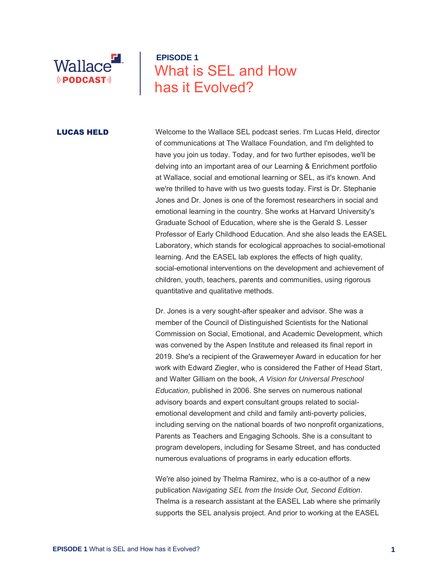

# **EPISODE 1** What is SEL and How has it Evolved?

**LUCAS HELD** Welcome to the Wallace SEL podcast series. I'm Lucas Held, director of communications at The Wallace Foundation, and I'm delighted to have you join us today. Today, and for two further episodes, we'll be delving into an important area of our Learning & Enrichment portfolio at Wallace, social and emotional learning or SEL, as it's known. And we're thrilled to have with us two guests today. First is Dr. Stephanie Jones and Dr. Jones is one of the foremost researchers in social and emotional learning in the country. She works at Harvard University's Graduate School of Education, where she is the Gerald S. Lesser Professor of Early Childhood Education. And she also leads the EASEL Laboratory, which stands for ecological approaches to social-emotional learning. And the EASEL lab explores the effects of high quality, social-emotional interventions on the development and achievement of children, youth, teachers, parents and communities, using rigorous quantitative and qualitative methods.

> Dr. Jones is a very sought-after speaker and advisor. She was a member of the Council of Distinguished Scientists for the National Commission on Social, Emotional, and Academic Development, which was convened by the Aspen Institute and released its final report in 2019. She's a recipient of the Grawemeyer Award in education for her work with Edward Ziegler, who is considered the Father of Head Start, and Walter Gilliam on the book, *A Vision for Universal Preschool Education*, published in 2006. She serves on numerous national advisory boards and expert consultant groups related to socialemotional development and child and family anti-poverty policies, including serving on the national boards of two nonprofit organizations, Parents as Teachers and Engaging Schools. She is a consultant to program developers, including for Sesame Street, and has conducted numerous evaluations of programs in early education efforts.

We're also joined by Thelma Ramirez, who is a co-author of a new publication *Navigating SEL from the Inside Out, Second Edition*. Thelma is a research assistant at the EASEL Lab where she primarily supports the SEL analysis project. And prior to working at the EASEL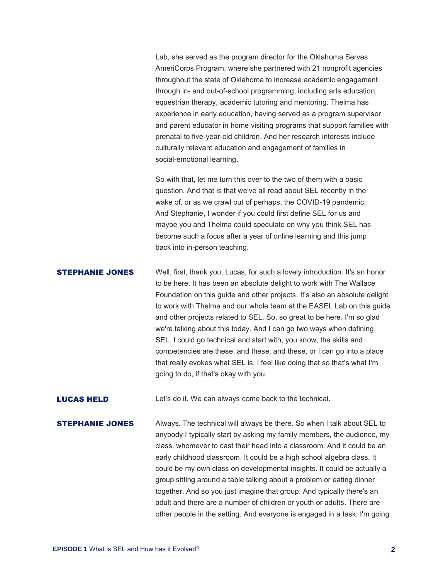Lab, she served as the program director for the Oklahoma Serves AmeriCorps Program, where she partnered with 21 nonprofit agencies throughout the state of Oklahoma to increase academic engagement through in- and out-of-school programming, including arts education, equestrian therapy, academic tutoring and mentoring. Thelma has experience in early education, having served as a program supervisor and parent educator in home visiting programs that support families with prenatal to five-year-old children. And her research interests include culturally relevant education and engagement of families in social-emotional learning.

So with that, let me turn this over to the two of them with a basic question. And that is that we've all read about SEL recently in the wake of, or as we crawl out of perhaps, the COVID-19 pandemic. And Stephanie, I wonder if you could first define SEL for us and maybe you and Thelma could speculate on why you think SEL has become such a focus after a year of online learning and this jump back into in-person teaching.

**STEPHANIE JONES** Well, first, thank you, Lucas, for such a lovely introduction. It's an honor to be here. It has been an absolute delight to work with The Wallace Foundation on this guide and other projects. It's also an absolute delight to work with Thelma and our whole team at the EASEL Lab on this guide and other projects related to SEL. So, so great to be here. I'm so glad we're talking about this today. And I can go two ways when defining SEL. I could go technical and start with, you know, the skills and competencies are these, and these, and these, or I can go into a place that really evokes what SEL is. I feel like doing that so that's what I'm going to do, if that's okay with you.

**LUCAS HELD** Let's do it. We can always come back to the technical.

**STEPHANIE JONES** Always. The technical will always be there. So when I talk about SEL to anybody I typically start by asking my family members, the audience, my class, whomever to cast their head into a classroom. And it could be an early childhood classroom. It could be a high school algebra class. It could be my own class on developmental insights. It could be actually a group sitting around a table talking about a problem or eating dinner together. And so you just imagine that group. And typically there's an adult and there are a number of children or youth or adults. There are other people in the setting. And everyone is engaged in a task. I'm going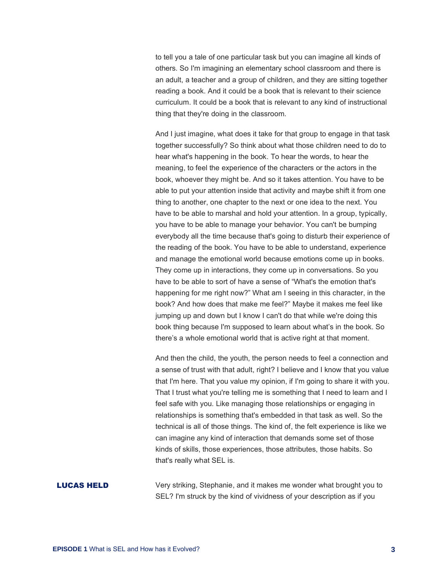to tell you a tale of one particular task but you can imagine all kinds of others. So I'm imagining an elementary school classroom and there is an adult, a teacher and a group of children, and they are sitting together reading a book. And it could be a book that is relevant to their science curriculum. It could be a book that is relevant to any kind of instructional thing that they're doing in the classroom.

And I just imagine, what does it take for that group to engage in that task together successfully? So think about what those children need to do to hear what's happening in the book. To hear the words, to hear the meaning, to feel the experience of the characters or the actors in the book, whoever they might be. And so it takes attention. You have to be able to put your attention inside that activity and maybe shift it from one thing to another, one chapter to the next or one idea to the next. You have to be able to marshal and hold your attention. In a group, typically, you have to be able to manage your behavior. You can't be bumping everybody all the time because that's going to disturb their experience of the reading of the book. You have to be able to understand, experience and manage the emotional world because emotions come up in books. They come up in interactions, they come up in conversations. So you have to be able to sort of have a sense of "What's the emotion that's happening for me right now?" What am I seeing in this character, in the book? And how does that make me feel?" Maybe it makes me feel like jumping up and down but I know I can't do that while we're doing this book thing because I'm supposed to learn about what's in the book. So there's a whole emotional world that is active right at that moment.

And then the child, the youth, the person needs to feel a connection and a sense of trust with that adult, right? I believe and I know that you value that I'm here. That you value my opinion, if I'm going to share it with you. That I trust what you're telling me is something that I need to learn and I feel safe with you. Like managing those relationships or engaging in relationships is something that's embedded in that task as well. So the technical is all of those things. The kind of, the felt experience is like we can imagine any kind of interaction that demands some set of those kinds of skills, those experiences, those attributes, those habits. So that's really what SEL is.

**LUCAS HELD** Very striking, Stephanie, and it makes me wonder what brought you to SEL? I'm struck by the kind of vividness of your description as if you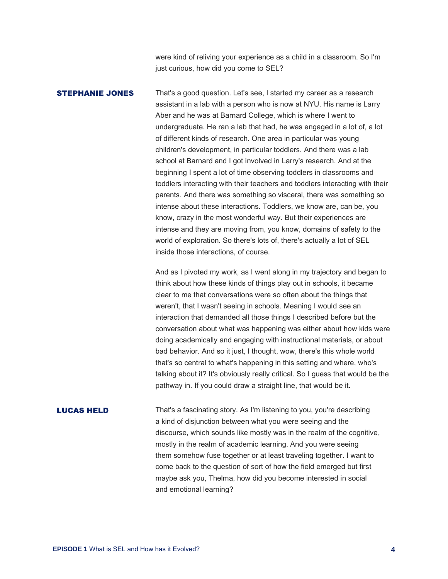were kind of reliving your experience as a child in a classroom. So I'm just curious, how did you come to SEL?

**STEPHANIE JONES** That's a good question. Let's see, I started my career as a research assistant in a lab with a person who is now at NYU. His name is Larry Aber and he was at Barnard College, which is where I went to undergraduate. He ran a lab that had, he was engaged in a lot of, a lot of different kinds of research. One area in particular was young children's development, in particular toddlers. And there was a lab school at Barnard and I got involved in Larry's research. And at the beginning I spent a lot of time observing toddlers in classrooms and toddlers interacting with their teachers and toddlers interacting with their parents. And there was something so visceral, there was something so intense about these interactions. Toddlers, we know are, can be, you know, crazy in the most wonderful way. But their experiences are intense and they are moving from, you know, domains of safety to the world of exploration. So there's lots of, there's actually a lot of SEL inside those interactions, of course.

> And as I pivoted my work, as I went along in my trajectory and began to think about how these kinds of things play out in schools, it became clear to me that conversations were so often about the things that weren't, that I wasn't seeing in schools. Meaning I would see an interaction that demanded all those things I described before but the conversation about what was happening was either about how kids were doing academically and engaging with instructional materials, or about bad behavior. And so it just, I thought, wow, there's this whole world that's so central to what's happening in this setting and where, who's talking about it? It's obviously really critical. So I guess that would be the pathway in. If you could draw a straight line, that would be it.

**LUCAS HELD** That's a fascinating story. As I'm listening to you, you're describing a kind of disjunction between what you were seeing and the discourse, which sounds like mostly was in the realm of the cognitive, mostly in the realm of academic learning. And you were seeing them somehow fuse together or at least traveling together. I want to come back to the question of sort of how the field emerged but first maybe ask you, Thelma, how did you become interested in social and emotional learning?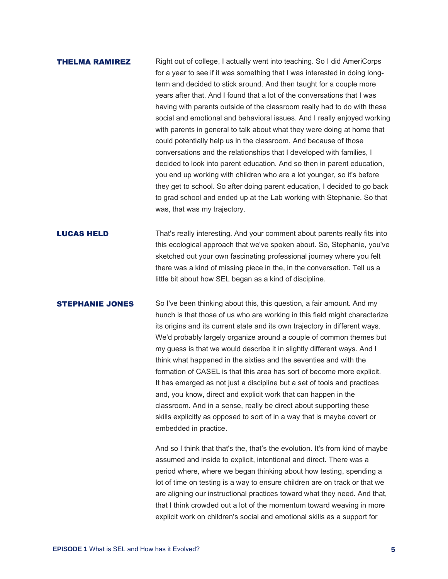## **THELMA RAMIREZ** Right out of college, I actually went into teaching. So I did AmeriCorps for a year to see if it was something that I was interested in doing longterm and decided to stick around. And then taught for a couple more years after that. And I found that a lot of the conversations that I was having with parents outside of the classroom really had to do with these social and emotional and behavioral issues. And I really enjoyed working with parents in general to talk about what they were doing at home that could potentially help us in the classroom. And because of those conversations and the relationships that I developed with families, I decided to look into parent education. And so then in parent education, you end up working with children who are a lot younger, so it's before they get to school. So after doing parent education, I decided to go back to grad school and ended up at the Lab working with Stephanie. So that was, that was my trajectory.

**LUCAS HELD** That's really interesting. And your comment about parents really fits into this ecological approach that we've spoken about. So, Stephanie, you've sketched out your own fascinating professional journey where you felt there was a kind of missing piece in the, in the conversation. Tell us a little bit about how SEL began as a kind of discipline.

**STEPHANIE JONES** So I've been thinking about this, this question, a fair amount. And my hunch is that those of us who are working in this field might characterize its origins and its current state and its own trajectory in different ways. We'd probably largely organize around a couple of common themes but my guess is that we would describe it in slightly different ways. And I think what happened in the sixties and the seventies and with the formation of CASEL is that this area has sort of become more explicit. It has emerged as not just a discipline but a set of tools and practices and, you know, direct and explicit work that can happen in the classroom. And in a sense, really be direct about supporting these skills explicitly as opposed to sort of in a way that is maybe covert or embedded in practice.

> And so I think that that's the, that's the evolution. It's from kind of maybe assumed and inside to explicit, intentional and direct. There was a period where, where we began thinking about how testing, spending a lot of time on testing is a way to ensure children are on track or that we are aligning our instructional practices toward what they need. And that, that I think crowded out a lot of the momentum toward weaving in more explicit work on children's social and emotional skills as a support for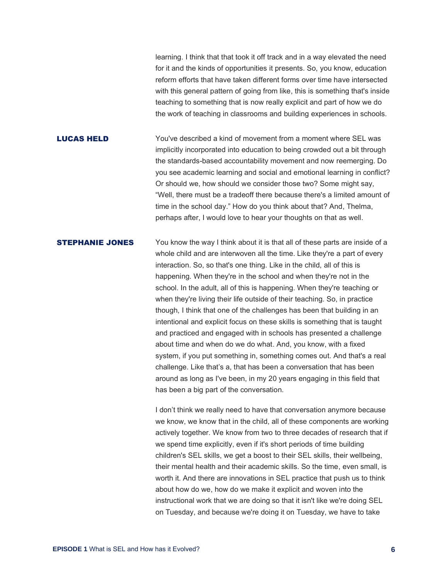learning. I think that that took it off track and in a way elevated the need for it and the kinds of opportunities it presents. So, you know, education reform efforts that have taken different forms over time have intersected with this general pattern of going from like, this is something that's inside teaching to something that is now really explicit and part of how we do the work of teaching in classrooms and building experiences in schools.

**LUCAS HELD** You've described a kind of movement from a moment where SEL was implicitly incorporated into education to being crowded out a bit through the standards-based accountability movement and now reemerging. Do you see academic learning and social and emotional learning in conflict? Or should we, how should we consider those two? Some might say, "Well, there must be a tradeoff there because there's a limited amount of time in the school day." How do you think about that? And, Thelma, perhaps after, I would love to hear your thoughts on that as well.

**STEPHANIE JONES** You know the way I think about it is that all of these parts are inside of a whole child and are interwoven all the time. Like they're a part of every interaction. So, so that's one thing. Like in the child, all of this is happening. When they're in the school and when they're not in the school. In the adult, all of this is happening. When they're teaching or when they're living their life outside of their teaching. So, in practice though, I think that one of the challenges has been that building in an intentional and explicit focus on these skills is something that is taught and practiced and engaged with in schools has presented a challenge about time and when do we do what. And, you know, with a fixed system, if you put something in, something comes out. And that's a real challenge. Like that's a, that has been a conversation that has been around as long as I've been, in my 20 years engaging in this field that has been a big part of the conversation.

> I don't think we really need to have that conversation anymore because we know, we know that in the child, all of these components are working actively together. We know from two to three decades of research that if we spend time explicitly, even if it's short periods of time building children's SEL skills, we get a boost to their SEL skills, their wellbeing, their mental health and their academic skills. So the time, even small, is worth it. And there are innovations in SEL practice that push us to think about how do we, how do we make it explicit and woven into the instructional work that we are doing so that it isn't like we're doing SEL on Tuesday, and because we're doing it on Tuesday, we have to take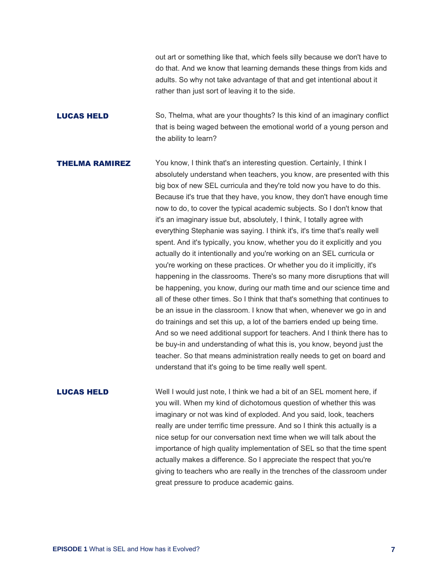out art or something like that, which feels silly because we don't have to do that. And we know that learning demands these things from kids and adults. So why not take advantage of that and get intentional about it rather than just sort of leaving it to the side.

**LUCAS HELD** So, Thelma, what are your thoughts? Is this kind of an imaginary conflict that is being waged between the emotional world of a young person and the ability to learn?

**THELMA RAMIREZ** You know, I think that's an interesting question. Certainly, I think I absolutely understand when teachers, you know, are presented with this big box of new SEL curricula and they're told now you have to do this. Because it's true that they have, you know, they don't have enough time now to do, to cover the typical academic subjects. So I don't know that it's an imaginary issue but, absolutely, I think, I totally agree with everything Stephanie was saying. I think it's, it's time that's really well spent. And it's typically, you know, whether you do it explicitly and you actually do it intentionally and you're working on an SEL curricula or you're working on these practices. Or whether you do it implicitly, it's happening in the classrooms. There's so many more disruptions that will be happening, you know, during our math time and our science time and all of these other times. So I think that that's something that continues to be an issue in the classroom. I know that when, whenever we go in and do trainings and set this up, a lot of the barriers ended up being time. And so we need additional support for teachers. And I think there has to be buy-in and understanding of what this is, you know, beyond just the teacher. So that means administration really needs to get on board and understand that it's going to be time really well spent.

**LUCAS HELD** Well I would just note, I think we had a bit of an SEL moment here, if you will. When my kind of dichotomous question of whether this was imaginary or not was kind of exploded. And you said, look, teachers really are under terrific time pressure. And so I think this actually is a nice setup for our conversation next time when we will talk about the importance of high quality implementation of SEL so that the time spent actually makes a difference. So I appreciate the respect that you're giving to teachers who are really in the trenches of the classroom under great pressure to produce academic gains.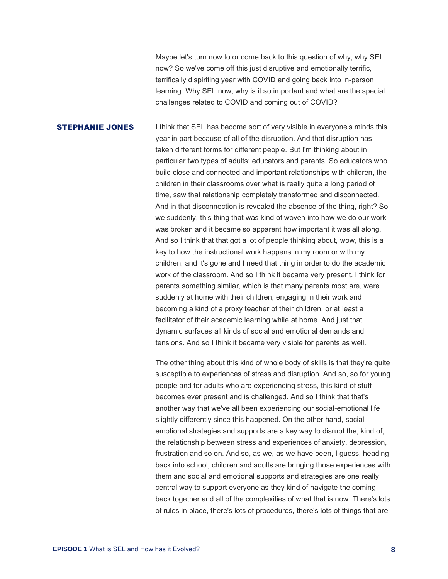Maybe let's turn now to or come back to this question of why, why SEL now? So we've come off this just disruptive and emotionally terrific, terrifically dispiriting year with COVID and going back into in-person learning. Why SEL now, why is it so important and what are the special challenges related to COVID and coming out of COVID?

**STEPHANIE JONES** I think that SEL has become sort of very visible in everyone's minds this year in part because of all of the disruption. And that disruption has taken different forms for different people. But I'm thinking about in particular two types of adults: educators and parents. So educators who build close and connected and important relationships with children, the children in their classrooms over what is really quite a long period of time, saw that relationship completely transformed and disconnected. And in that disconnection is revealed the absence of the thing, right? So we suddenly, this thing that was kind of woven into how we do our work was broken and it became so apparent how important it was all along. And so I think that that got a lot of people thinking about, wow, this is a key to how the instructional work happens in my room or with my children, and it's gone and I need that thing in order to do the academic work of the classroom. And so I think it became very present. I think for parents something similar, which is that many parents most are, were suddenly at home with their children, engaging in their work and becoming a kind of a proxy teacher of their children, or at least a facilitator of their academic learning while at home. And just that dynamic surfaces all kinds of social and emotional demands and tensions. And so I think it became very visible for parents as well.

> The other thing about this kind of whole body of skills is that they're quite susceptible to experiences of stress and disruption. And so, so for young people and for adults who are experiencing stress, this kind of stuff becomes ever present and is challenged. And so I think that that's another way that we've all been experiencing our social-emotional life slightly differently since this happened. On the other hand, socialemotional strategies and supports are a key way to disrupt the, kind of, the relationship between stress and experiences of anxiety, depression, frustration and so on. And so, as we, as we have been, I guess, heading back into school, children and adults are bringing those experiences with them and social and emotional supports and strategies are one really central way to support everyone as they kind of navigate the coming back together and all of the complexities of what that is now. There's lots of rules in place, there's lots of procedures, there's lots of things that are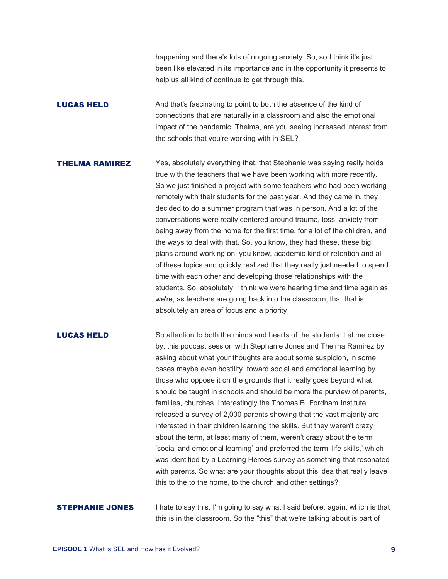happening and there's lots of ongoing anxiety. So, so I think it's just been like elevated in its importance and in the opportunity it presents to help us all kind of continue to get through this.

**LUCAS HELD** And that's fascinating to point to both the absence of the kind of connections that are naturally in a classroom and also the emotional impact of the pandemic. Thelma, are you seeing increased interest from the schools that you're working with in SEL?

**THELMA RAMIREZ** Yes, absolutely everything that, that Stephanie was saying really holds true with the teachers that we have been working with more recently. So we just finished a project with some teachers who had been working remotely with their students for the past year. And they came in, they decided to do a summer program that was in person. And a lot of the conversations were really centered around trauma, loss, anxiety from being away from the home for the first time, for a lot of the children, and the ways to deal with that. So, you know, they had these, these big plans around working on, you know, academic kind of retention and all of these topics and quickly realized that they really just needed to spend time with each other and developing those relationships with the students. So, absolutely, I think we were hearing time and time again as we're, as teachers are going back into the classroom, that that is absolutely an area of focus and a priority.

**LUCAS HELD** So attention to both the minds and hearts of the students. Let me close by, this podcast session with Stephanie Jones and Thelma Ramirez by asking about what your thoughts are about some suspicion, in some cases maybe even hostility, toward social and emotional learning by those who oppose it on the grounds that it really goes beyond what should be taught in schools and should be more the purview of parents, families, churches. Interestingly the Thomas B. Fordham Institute released a survey of 2,000 parents showing that the vast majority are interested in their children learning the skills. But they weren't crazy about the term, at least many of them, weren't crazy about the term 'social and emotional learning' and preferred the term 'life skills,' which was identified by a Learning Heroes survey as something that resonated with parents. So what are your thoughts about this idea that really leave this to the to the home, to the church and other settings?

**STEPHANIE JONES** I hate to say this. I'm going to say what I said before, again, which is that this is in the classroom. So the "this" that we're talking about is part of